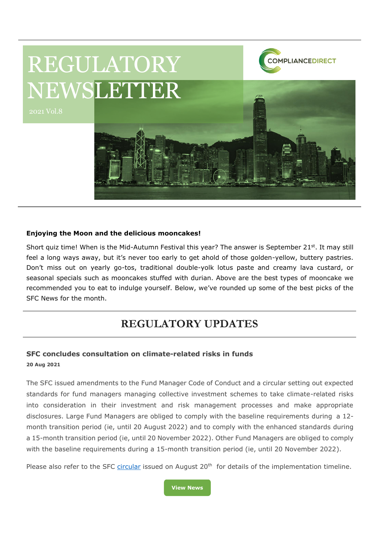

### **Enjoying the Moon and the delicious mooncakes!**

Short quiz time! When is the Mid-Autumn Festival this year? The answer is September 21<sup>st</sup>. It may still feel a long ways away, but it's never too early to get ahold of those golden-yellow, buttery pastries. Don't miss out on yearly go-tos, traditional double-yolk lotus paste and creamy lava custard, or seasonal specials such as mooncakes stuffed with durian. Above are the best types of mooncake we recommended you to eat to indulge yourself. Below, we've rounded up some of the best picks of the SFC News for the month.

# **REGULATORY UPDATES**

### **SFC concludes consultation on climate-related risks in funds 20 Aug 2021**

The SFC issued amendments to the Fund Manager Code of Conduct and a circular setting out expected standards for fund managers managing collective investment schemes to take climate-related risks into consideration in their investment and risk management processes and make appropriate disclosures. Large Fund Managers are obliged to comply with the baseline requirements during a 12 month transition period (ie, until 20 August 2022) and to comply with the enhanced standards during a 15-month transition period (ie, until 20 November 2022). Other Fund Managers are obliged to comply with the baseline requirements during a 15-month transition period (ie, until 20 November 2022).

Please also refer to the SFC [circular](https://apps.sfc.hk/edistributionWeb/gateway/EN/circular/intermediaries/supervision/doc?refNo=21EC31) issued on August  $20<sup>th</sup>$  for details of the implementation timeline.

**[View News](https://apps.sfc.hk/edistributionWeb/gateway/EN/news-and-announcements/news/corporate-news/doc?refNo=21PR86)**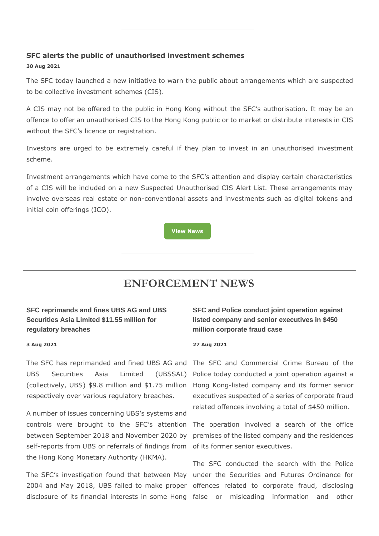### **SFC alerts the public of unauthorised investment schemes 30 Aug 2021**

The SFC today launched a new initiative to warn the public about arrangements which are suspected to be collective investment schemes (CIS).

A CIS may not be offered to the public in Hong Kong without the SFC's authorisation. It may be an offence to offer an unauthorised CIS to the Hong Kong public or to market or distribute interests in CIS without the SFC's licence or registration.

Investors are urged to be extremely careful if they plan to invest in an unauthorised investment scheme.

Investment arrangements which have come to the SFC's attention and display certain characteristics of a CIS will be included on a new Suspected Unauthorised CIS Alert List. These arrangements may involve overseas real estate or non-conventional assets and investments such as digital tokens and initial coin offerings (ICO).

**[View News](https://apps.sfc.hk/edistributionWeb/gateway/EN/news-and-announcements/news/corporate-news/doc?refNo=21PR89)**

# **ENFORCEMENT NEWS**

## **SFC reprimands and fines UBS AG and UBS Securities Asia Limited \$11.55 million for regulatory breaches**

#### **3 Aug 2021**

respectively over various regulatory breaches.

A number of issues concerning UBS's systems and controls were brought to the SFC's attention The operation involved a search of the office between September 2018 and November 2020 by premises of the listed company and the residences self-reports from UBS or referrals of findings from of its former senior executives. the Hong Kong Monetary Authority (HKMA).

## **SFC and Police conduct joint operation against listed company and senior executives in \$450 million corporate fraud case**

#### **27 Aug 2021**

The SFC has reprimanded and fined UBS AG and The SFC and Commercial Crime Bureau of the UBS Securities Asia Limited (UBSSAL) Police today conducted a joint operation against a (collectively, UBS) \$9.8 million and \$1.75 million Hong Kong-listed company and its former senior executives suspected of a series of corporate fraud related offences involving a total of \$450 million.

The SFC's investigation found that between May under the Securities and Futures Ordinance for 2004 and May 2018, UBS failed to make proper offences related to corporate fraud, disclosing disclosure of its financial interests in some Hong false or misleading information and other The SFC conducted the search with the Police